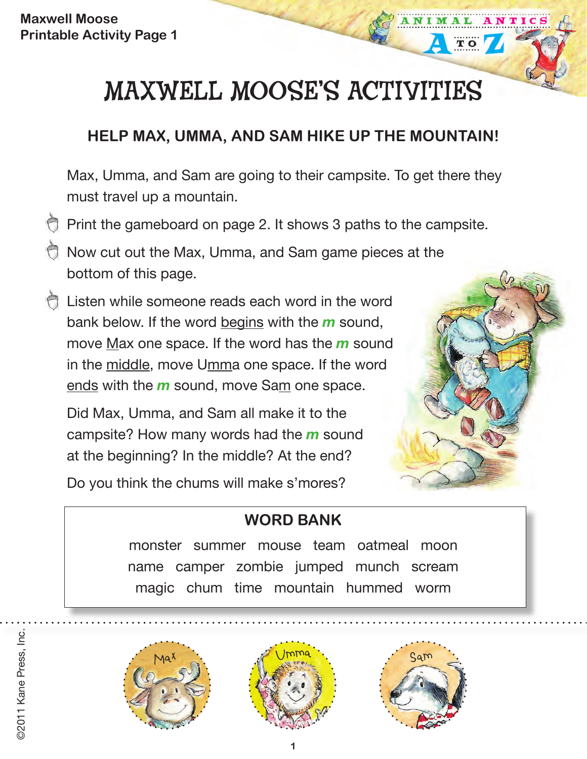# MAXWELL MOOSE'S ACTIVITIES

#### **HELP MAX, UMMA, AND SAM HIKE UP THE MOUNTAIN!**

Max, Umma, and Sam are going to their campsite. To get there they must travel up a mountain.

- Print the gameboard on page 2. It shows 3 paths to the campsite.
- Now cut out the Max, Umma, and Sam game pieces at the bottom of this page.
- Listen while someone reads each word in the word bank below. If the word begins with the *m* sound, move Max one space. If the word has the *m* sound in the middle, move Umma one space. If the word ends with the *m* sound, move Sam one space.

Did Max, Umma, and Sam all make it to the campsite? How many words had the *m* sound at the beginning? In the middle? At the end?

Do you think the chums will make s'mores?

### **WORD BANK**

monster summer mouse team oatmeal moon name camper zombie jumped munch scream magic chum time mountain hummed worm



©2011 Kane Press, Inc.

2011 Kane Press, Inc.





TO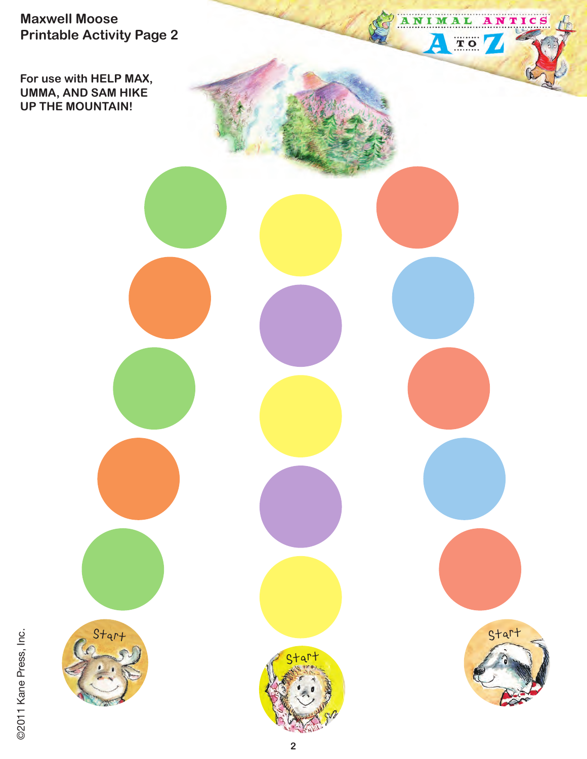**For use with HELP MAX, UMMA, AND SAM HIKE UP THE MOUNTAIN!**

@2011 Kane Press, Inc. ©2011 Kane Press, Inc.





ANIMAL

Δ

TO /

ANTICS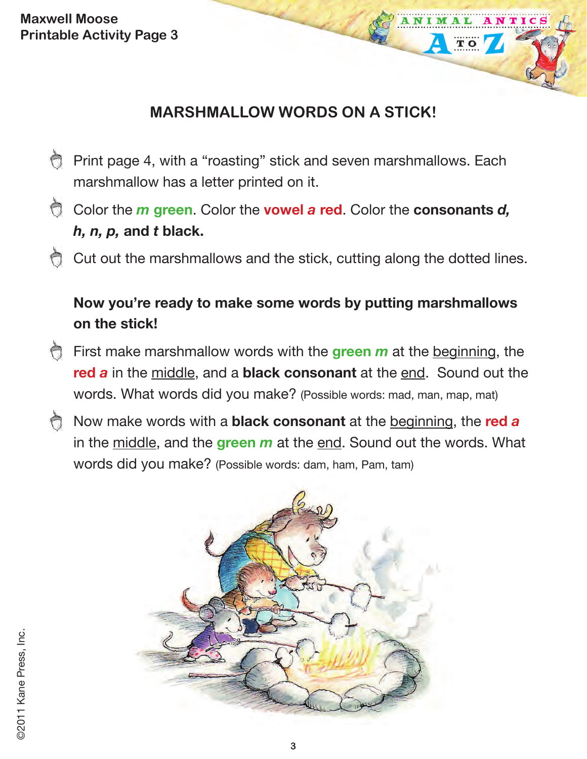#### **MARSHMALLOW WORDS ON A STICK!**

TO

- **Print page 4, with a "roasting" stick and seven marshmallows. Each** marshmallow has a letter printed on it.
- Color the *m* **green**. Color the **vowel** *a* **red**. Color the **consonants** *d, h, n, p,* **and** *t* **black.**
- Cut out the marshmallows and the stick, cutting along the dotted lines.

#### **Now you're ready to make some words by putting marshmallows on the stick!**

- First make marshmallow words with the **green** *m* at the beginning, the **red** *a* in the middle, and a **black consonant** at the end. Sound out the words. What words did you make? (Possible words: mad, man, map, mat)
- Now make words with a **black consonant** at the beginning, the **red** *a* in the middle, and the **green** *m* at the end. Sound out the words. What words did you make? (Possible words: dam, ham, Pam, tam)

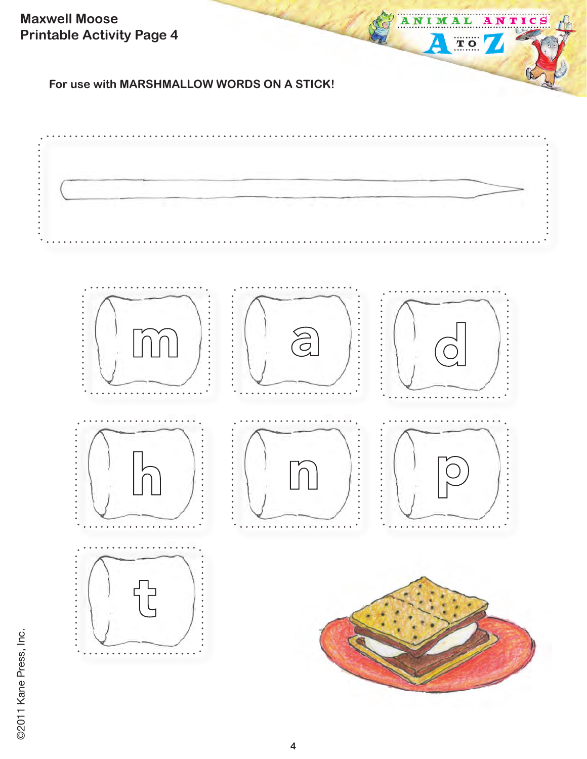**For use with MARSHMALLOW WORDS ON A STICK!**



ANIMAL

Δ

TO 7

ANTICS

©2011 Kane Press, Inc. ©2011 Kane Press, Inc.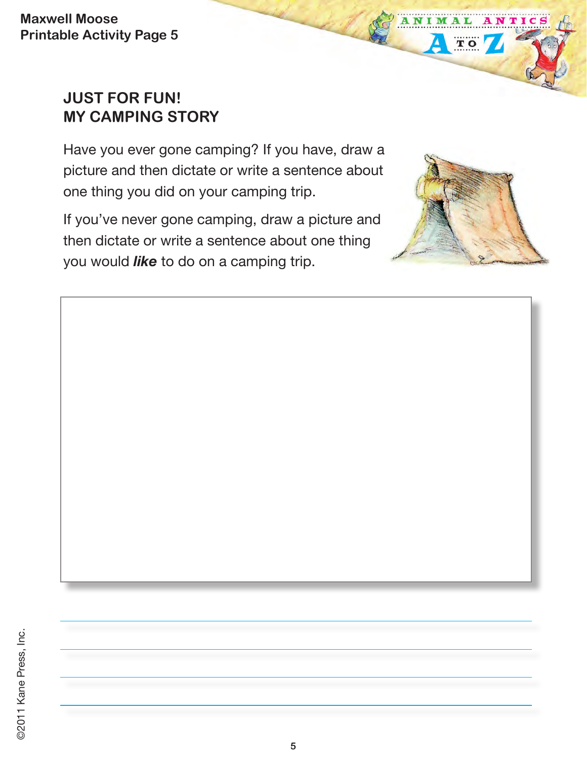#### **JUST FOR FUN! MY CAMPING STORY**

Have you ever gone camping? If you have, draw a picture and then dictate or write a sentence about one thing you did on your camping trip.

If you've never gone camping, draw a picture and then dictate or write a sentence about one thing you would *like* to do on a camping trip.



ANI

M

 $T$  O

NTIC